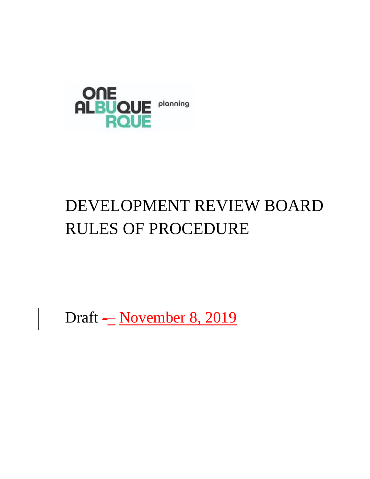

# DEVELOPMENT REVIEW BOARD RULES OF PROCEDURE

Draft - November 8, 2019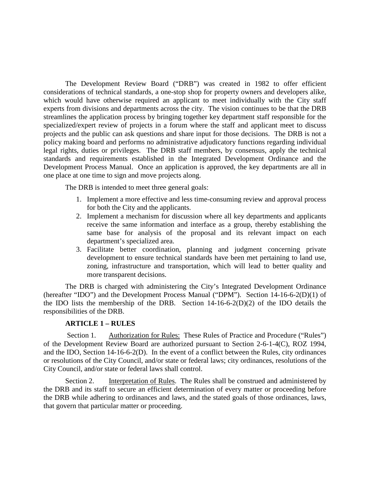The Development Review Board ("DRB") was created in 1982 to offer efficient considerations of technical standards, a one-stop shop for property owners and developers alike, which would have otherwise required an applicant to meet individually with the City staff experts from divisions and departments across the city. The vision continues to be that the DRB streamlines the application process by bringing together key department staff responsible for the specialized/expert review of projects in a forum where the staff and applicant meet to discuss projects and the public can ask questions and share input for those decisions. The DRB is not a policy making board and performs no administrative adjudicatory functions regarding individual legal rights, duties or privileges. The DRB staff members, by consensus, apply the technical standards and requirements established in the Integrated Development Ordinance and the Development Process Manual. Once an application is approved, the key departments are all in one place at one time to sign and move projects along.

The DRB is intended to meet three general goals:

- 1. Implement a more effective and less time-consuming review and approval process for both the City and the applicants.
- 2. Implement a mechanism for discussion where all key departments and applicants receive the same information and interface as a group, thereby establishing the same base for analysis of the proposal and its relevant impact on each department's specialized area.
- 3. Facilitate better coordination, planning and judgment concerning private development to ensure technical standards have been met pertaining to land use, zoning, infrastructure and transportation, which will lead to better quality and more transparent decisions.

The DRB is charged with administering the City's Integrated Development Ordinance (hereafter "IDO") and the Development Process Manual ("DPM"). Section 14-16-6-2(D)(1) of the IDO lists the membership of the DRB. Section 14-16-6-2(D)(2) of the IDO details the responsibilities of the DRB.

### **ARTICLE 1 – RULES**

Section 1. Authorization for Rules: These Rules of Practice and Procedure ("Rules") of the Development Review Board are authorized pursuant to Section 2-6-1-4(C), ROZ 1994, and the IDO, Section 14-16-6-2(D). In the event of a conflict between the Rules, city ordinances or resolutions of the City Council, and/or state or federal laws; city ordinances, resolutions of the City Council, and/or state or federal laws shall control.

Section 2. Interpretation of Rules. The Rules shall be construed and administered by the DRB and its staff to secure an efficient determination of every matter or proceeding before the DRB while adhering to ordinances and laws, and the stated goals of those ordinances, laws, that govern that particular matter or proceeding.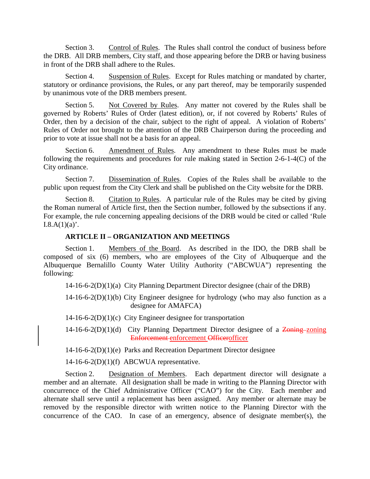Section 3. Control of Rules. The Rules shall control the conduct of business before the DRB. All DRB members, City staff, and those appearing before the DRB or having business in front of the DRB shall adhere to the Rules.

Section 4. Suspension of Rules. Except for Rules matching or mandated by charter, statutory or ordinance provisions, the Rules, or any part thereof, may be temporarily suspended by unanimous vote of the DRB members present.

Section 5. Not Covered by Rules. Any matter not covered by the Rules shall be governed by Roberts' Rules of Order (latest edition), or, if not covered by Roberts' Rules of Order, then by a decision of the chair, subject to the right of appeal. A violation of Roberts' Rules of Order not brought to the attention of the DRB Chairperson during the proceeding and prior to vote at issue shall not be a basis for an appeal.

Section 6. Amendment of Rules. Any amendment to these Rules must be made following the requirements and procedures for rule making stated in Section 2-6-1-4(C) of the City ordinance.

Section 7. Dissemination of Rules. Copies of the Rules shall be available to the public upon request from the City Clerk and shall be published on the City website for the DRB.

Section 8. Citation to Rules. A particular rule of the Rules may be cited by giving the Roman numeral of Article first, then the Section number, followed by the subsections if any. For example, the rule concerning appealing decisions of the DRB would be cited or called 'Rule  $I.8.A(1)(a)$ .

### **ARTICLE II – ORGANIZATION AND MEETINGS**

Section 1. Members of the Board. As described in the IDO, the DRB shall be composed of six (6) members, who are employees of the City of Albuquerque and the Albuquerque Bernalillo County Water Utility Authority ("ABCWUA") representing the following:

14-16-6-2(D)(1)(a) City Planning Department Director designee (chair of the DRB)

14-16-6-2(D)(1)(b) City Engineer designee for hydrology (who may also function as a designee for AMAFCA)

14-16-6-2(D)(1)(c) City Engineer designee for transportation

 $14-16-6-2(D)(1)(d)$  City Planning Department Director designee of a Zoning-zoning Enforcement enforcement Officerofficer

14-16-6-2(D)(1)(e) Parks and Recreation Department Director designee

 $14-16-6-2(D)(1)(f)$  ABCWUA representative.

Section 2. Designation of Members. Each department director will designate a member and an alternate. All designation shall be made in writing to the Planning Director with concurrence of the Chief Administrative Officer ("CAO") for the City. Each member and alternate shall serve until a replacement has been assigned. Any member or alternate may be removed by the responsible director with written notice to the Planning Director with the concurrence of the CAO. In case of an emergency, absence of designate member(s), the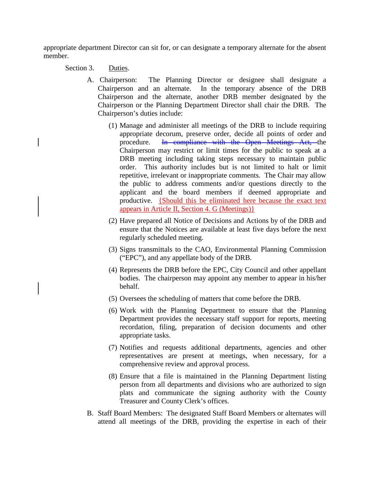appropriate department Director can sit for, or can designate a temporary alternate for the absent member.

Section 3. Duties.

- A. Chairperson: The Planning Director or designee shall designate a Chairperson and an alternate. In the temporary absence of the DRB Chairperson and the alternate, another DRB member designated by the Chairperson or the Planning Department Director shall chair the DRB. The Chairperson's duties include:
	- (1) Manage and administer all meetings of the DRB to include requiring appropriate decorum, preserve order, decide all points of order and procedure. In compliance with the Open Meetings Act, the Chairperson may restrict or limit times for the public to speak at a DRB meeting including taking steps necessary to maintain public order. This authority includes but is not limited to halt or limit repetitive, irrelevant or inappropriate comments. The Chair may allow the public to address comments and/or questions directly to the applicant and the board members if deemed appropriate and productive. {Should this be eliminated here because the exact text appears in Article II, Section 4. G (Meetings)}
	- (2) Have prepared all Notice of Decisions and Actions by of the DRB and ensure that the Notices are available at least five days before the next regularly scheduled meeting.
	- (3) Signs transmittals to the CAO, Environmental Planning Commission ("EPC"), and any appellate body of the DRB.
	- (4) Represents the DRB before the EPC, City Council and other appellant bodies. The chairperson may appoint any member to appear in his/her behalf.
	- (5) Oversees the scheduling of matters that come before the DRB.
	- (6) Work with the Planning Department to ensure that the Planning Department provides the necessary staff support for reports, meeting recordation, filing, preparation of decision documents and other appropriate tasks.
	- (7) Notifies and requests additional departments, agencies and other representatives are present at meetings, when necessary, for a comprehensive review and approval process.
	- (8) Ensure that a file is maintained in the Planning Department listing person from all departments and divisions who are authorized to sign plats and communicate the signing authority with the County Treasurer and County Clerk's offices.
- B. Staff Board Members: The designated Staff Board Members or alternates will attend all meetings of the DRB, providing the expertise in each of their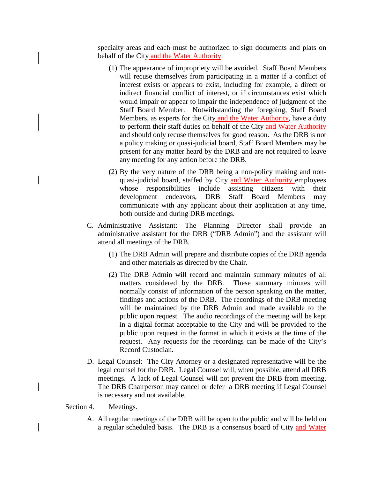specialty areas and each must be authorized to sign documents and plats on behalf of the City and the Water Authority.

- (1) The appearance of impropriety will be avoided. Staff Board Members will recuse themselves from participating in a matter if a conflict of interest exists or appears to exist, including for example, a direct or indirect financial conflict of interest, or if circumstances exist which would impair or appear to impair the independence of judgment of the Staff Board Member. Notwithstanding the foregoing, Staff Board Members, as experts for the City and the Water Authority, have a duty to perform their staff duties on behalf of the City and Water Authority and should only recuse themselves for good reason. As the DRB is not a policy making or quasi-judicial board, Staff Board Members may be present for any matter heard by the DRB and are not required to leave any meeting for any action before the DRB.
- (2) By the very nature of the DRB being a non-policy making and nonquasi-judicial board, staffed by City and Water Authority employees whose responsibilities include assisting citizens with their development endeavors, DRB Staff Board Members may communicate with any applicant about their application at any time, both outside and during DRB meetings.
- C. Administrative Assistant: The Planning Director shall provide an administrative assistant for the DRB ("DRB Admin") and the assistant will attend all meetings of the DRB.
	- (1) The DRB Admin will prepare and distribute copies of the DRB agenda and other materials as directed by the Chair.
	- (2) The DRB Admin will record and maintain summary minutes of all matters considered by the DRB. These summary minutes will normally consist of information of the person speaking on the matter, findings and actions of the DRB. The recordings of the DRB meeting will be maintained by the DRB Admin and made available to the public upon request. The audio recordings of the meeting will be kept in a digital format acceptable to the City and will be provided to the public upon request in the format in which it exists at the time of the request. Any requests for the recordings can be made of the City's Record Custodian.
- D. Legal Counsel: The City Attorney or a designated representative will be the legal counsel for the DRB. Legal Counsel will, when possible, attend all DRB meetings. A lack of Legal Counsel will not prevent the DRB from meeting. The DRB Chairperson may cancel or defer a DRB meeting if Legal Counsel is necessary and not available.

#### Section 4. Meetings.

A. All regular meetings of the DRB will be open to the public and will be held on a regular scheduled basis. The DRB is a consensus board of City and Water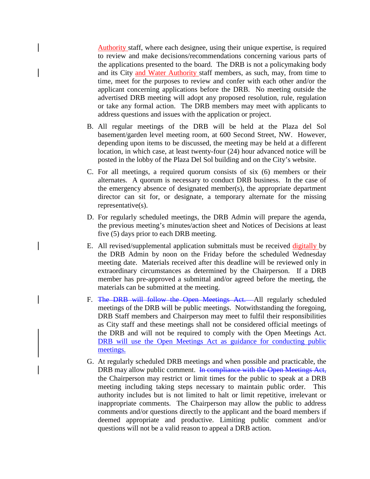Authority staff, where each designee, using their unique expertise, is required to review and make decisions/recommendations concerning various parts of the applications presented to the board. The DRB is not a policymaking body and its City and Water Authority staff members, as such, may, from time to time, meet for the purposes to review and confer with each other and/or the applicant concerning applications before the DRB. No meeting outside the advertised DRB meeting will adopt any proposed resolution, rule, regulation or take any formal action. The DRB members may meet with applicants to address questions and issues with the application or project.

- B. All regular meetings of the DRB will be held at the Plaza del Sol basement/garden level meeting room, at 600 Second Street, NW. However, depending upon items to be discussed, the meeting may be held at a different location, in which case, at least twenty-four (24) hour advanced notice will be posted in the lobby of the Plaza Del Sol building and on the City's website.
- C. For all meetings, a required quorum consists of six (6) members or their alternates. A quorum is necessary to conduct DRB business. In the case of the emergency absence of designated member(s), the appropriate department director can sit for, or designate, a temporary alternate for the missing representative(s).
- D. For regularly scheduled meetings, the DRB Admin will prepare the agenda, the previous meeting's minutes/action sheet and Notices of Decisions at least five (5) days prior to each DRB meeting.
- E. All revised/supplemental application submittals must be received digitally by the DRB Admin by noon on the Friday before the scheduled Wednesday meeting date. Materials received after this deadline will be reviewed only in extraordinary circumstances as determined by the Chairperson. If a DRB member has pre-approved a submittal and/or agreed before the meeting, the materials can be submitted at the meeting.
- F. The DRB will follow the Open Meetings Act. All regularly scheduled meetings of the DRB will be public meetings. Notwithstanding the foregoing, DRB Staff members and Chairperson may meet to fulfil their responsibilities as City staff and these meetings shall not be considered official meetings of the DRB and will not be required to comply with the Open Meetings Act. DRB will use the Open Meetings Act as guidance for conducting public meetings.
- G. At regularly scheduled DRB meetings and when possible and practicable, the DRB may allow public comment. In compliance with the Open Meetings Act, the Chairperson may restrict or limit times for the public to speak at a DRB meeting including taking steps necessary to maintain public order. This authority includes but is not limited to halt or limit repetitive, irrelevant or inappropriate comments. The Chairperson may allow the public to address comments and/or questions directly to the applicant and the board members if deemed appropriate and productive. Limiting public comment and/or questions will not be a valid reason to appeal a DRB action.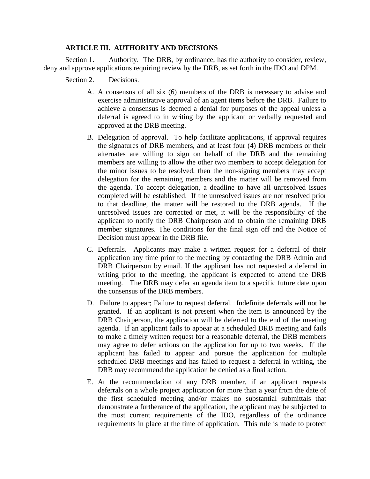## **ARTICLE III. AUTHORITY AND DECISIONS**

Section 1. Authority. The DRB, by ordinance, has the authority to consider, review, deny and approve applications requiring review by the DRB, as set forth in the IDO and DPM.

Section 2. Decisions.

- A. A consensus of all six (6) members of the DRB is necessary to advise and exercise administrative approval of an agent items before the DRB. Failure to achieve a consensus is deemed a denial for purposes of the appeal unless a deferral is agreed to in writing by the applicant or verbally requested and approved at the DRB meeting.
- B. Delegation of approval. To help facilitate applications, if approval requires the signatures of DRB members, and at least four (4) DRB members or their alternates are willing to sign on behalf of the DRB and the remaining members are willing to allow the other two members to accept delegation for the minor issues to be resolved, then the non-signing members may accept delegation for the remaining members and the matter will be removed from the agenda. To accept delegation, a deadline to have all unresolved issues completed will be established. If the unresolved issues are not resolved prior to that deadline, the matter will be restored to the DRB agenda. If the unresolved issues are corrected or met, it will be the responsibility of the applicant to notify the DRB Chairperson and to obtain the remaining DRB member signatures. The conditions for the final sign off and the Notice of Decision must appear in the DRB file.
- C. Deferrals. Applicants may make a written request for a deferral of their application any time prior to the meeting by contacting the DRB Admin and DRB Chairperson by email. If the applicant has not requested a deferral in writing prior to the meeting, the applicant is expected to attend the DRB meeting. The DRB may defer an agenda item to a specific future date upon the consensus of the DRB members.
- D. Failure to appear; Failure to request deferral. Indefinite deferrals will not be granted. If an applicant is not present when the item is announced by the DRB Chairperson, the application will be deferred to the end of the meeting agenda. If an applicant fails to appear at a scheduled DRB meeting and fails to make a timely written request for a reasonable deferral, the DRB members may agree to defer actions on the application for up to two weeks. If the applicant has failed to appear and pursue the application for multiple scheduled DRB meetings and has failed to request a deferral in writing, the DRB may recommend the application be denied as a final action.
- E. At the recommendation of any DRB member, if an applicant requests deferrals on a whole project application for more than a year from the date of the first scheduled meeting and/or makes no substantial submittals that demonstrate a furtherance of the application, the applicant may be subjected to the most current requirements of the IDO, regardless of the ordinance requirements in place at the time of application. This rule is made to protect